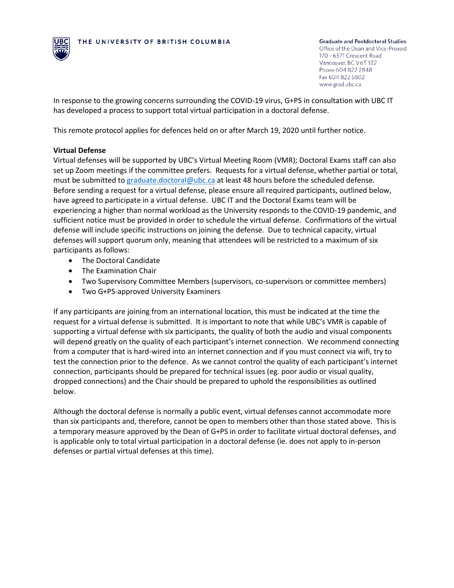

**Graduate and Postdoctoral Studies** 

Office of the Dean and Vice-Provost 170 - 6371 Crescent Road Vancouver, BC V6T 1Z2 Phone 604 822 2848 Fax 604 822 5802 www.grad.ubc.ca

In response to the growing concerns surrounding the COVID-19 virus, G+PS in consultation with UBC IT has developed a process to support total virtual participation in a doctoral defense.

This remote protocol applies for defences held on or after March 19, 2020 until further notice.

## **Virtual Defense**

Virtual defenses will be supported by UBC's Virtual Meeting Room (VMR); Doctoral Exams staff can also set up Zoom meetings if the committee prefers. Requests for a virtual defense, whether partial or total, must be submitted to [graduate.doctoral@ubc.ca](mailto:graduate.doctoral@ubc.ca) at least 48 hours before the scheduled defense. Before sending a request for a virtual defense, please ensure all required participants, outlined below, have agreed to participate in a virtual defense. UBC IT and the Doctoral Exams team will be experiencing a higher than normal workload as the University responds to the COVID-19 pandemic, and sufficient notice must be provided in order to schedule the virtual defense. Confirmations of the virtual defense will include specific instructions on joining the defense. Due to technical capacity, virtual defenses will support quorum only, meaning that attendees will be restricted to a maximum of six participants as follows:

- The Doctoral Candidate
- The Examination Chair
- Two Supervisory Committee Members (supervisors, co-supervisors or committee members)
- Two G+PS-approved University Examiners

If any participants are joining from an international location, this must be indicated at the time the request for a virtual defense is submitted. It is important to note that while UBC's VMR is capable of supporting a virtual defense with six participants, the quality of both the audio and visual components will depend greatly on the quality of each participant's internet connection. We recommend connecting from a computer that is hard-wired into an internet connection and if you must connect via wifi, try to test the connection prior to the defence. As we cannot control the quality of each participant's internet connection, participants should be prepared for technical issues (eg. poor audio or visual quality, dropped connections) and the Chair should be prepared to uphold the responsibilities as outlined below.

Although the doctoral defense is normally a public event, virtual defenses cannot accommodate more than six participants and, therefore, cannot be open to members other than those stated above. Thisis a temporary measure approved by the Dean of G+PS in order to facilitate virtual doctoral defenses, and is applicable only to total virtual participation in a doctoral defense (ie. does not apply to in-person defenses or partial virtual defenses at this time).